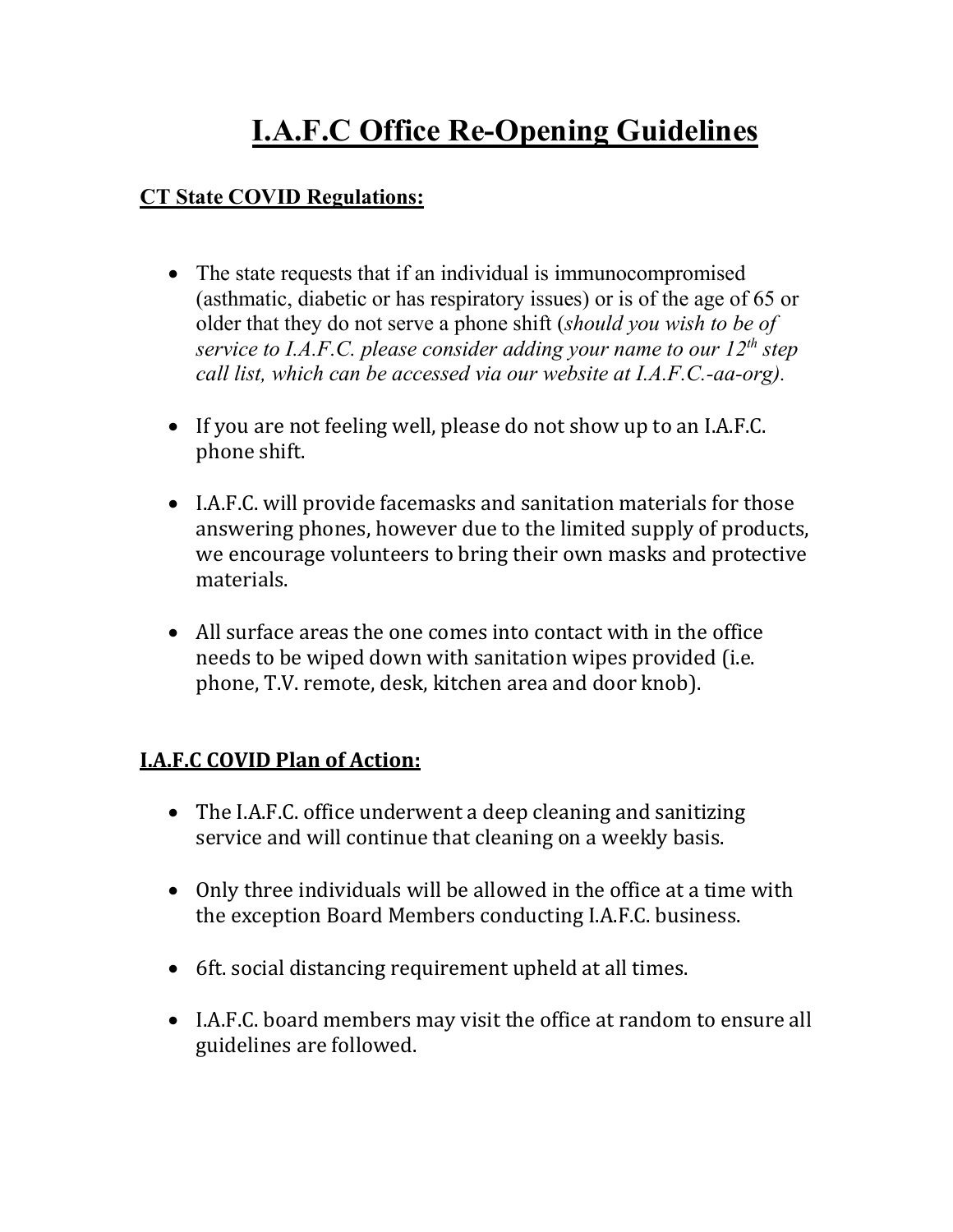## **I.A.F.C Office Re-Opening Guidelines**

## **CT State COVID Regulations:**

- The state requests that if an individual is immunocompromised (asthmatic, diabetic or has respiratory issues) or is of the age of 65 or older that they do not serve a phone shift (*should you wish to be of service to I.A.F.C. please consider adding your name to our 12th step call list, which can be accessed via our website at I.A.F.C.-aa-org).*
- If you are not feeling well, please do not show up to an I.A.F.C. phone shift.
- I.A.F.C. will provide facemasks and sanitation materials for those answering phones, however due to the limited supply of products, we encourage volunteers to bring their own masks and protective materials.
- All surface areas the one comes into contact with in the office needs to be wiped down with sanitation wipes provided (i.e. phone, T.V. remote, desk, kitchen area and door knob).

## **I.A.F.C COVID Plan of Action:**

- The I.A.F.C. office underwent a deep cleaning and sanitizing service and will continue that cleaning on a weekly basis.
- Only three individuals will be allowed in the office at a time with the exception Board Members conducting I.A.F.C. business.
- 6ft. social distancing requirement upheld at all times.
- I.A.F.C. board members may visit the office at random to ensure all guidelines are followed.